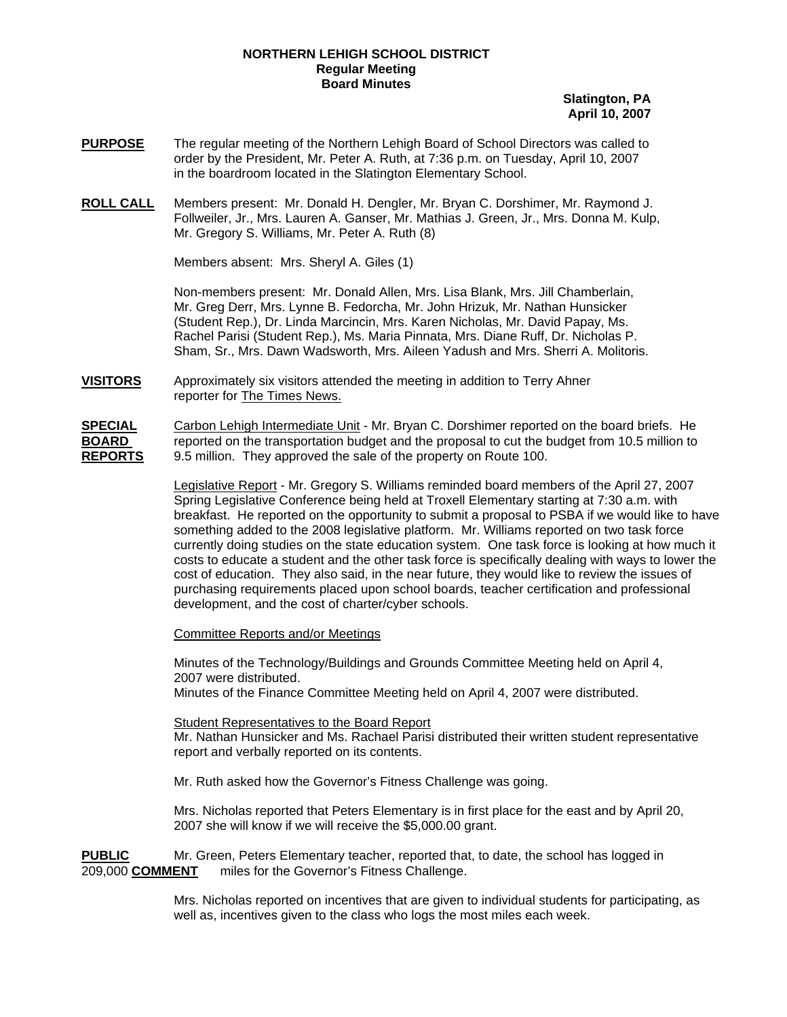## **NORTHERN LEHIGH SCHOOL DISTRICT Regular Meeting Board Minutes**

**Slatington, PA April 10, 2007**

- **PURPOSE** The regular meeting of the Northern Lehigh Board of School Directors was called to order by the President, Mr. Peter A. Ruth, at 7:36 p.m. on Tuesday, April 10, 2007 in the boardroom located in the Slatington Elementary School.
- **ROLL CALL** Members present: Mr. Donald H. Dengler, Mr. Bryan C. Dorshimer, Mr. Raymond J. Follweiler, Jr., Mrs. Lauren A. Ganser, Mr. Mathias J. Green, Jr., Mrs. Donna M. Kulp, Mr. Gregory S. Williams, Mr. Peter A. Ruth (8)

Members absent: Mrs. Sheryl A. Giles (1)

Non-members present: Mr. Donald Allen, Mrs. Lisa Blank, Mrs. Jill Chamberlain, Mr. Greg Derr, Mrs. Lynne B. Fedorcha, Mr. John Hrizuk, Mr. Nathan Hunsicker (Student Rep.), Dr. Linda Marcincin, Mrs. Karen Nicholas, Mr. David Papay, Ms. Rachel Parisi (Student Rep.), Ms. Maria Pinnata, Mrs. Diane Ruff, Dr. Nicholas P. Sham, Sr., Mrs. Dawn Wadsworth, Mrs. Aileen Yadush and Mrs. Sherri A. Molitoris.

**VISITORS** Approximately six visitors attended the meeting in addition to Terry Ahner reporter for The Times News.

**SPECIAL** Carbon Lehigh Intermediate Unit - Mr. Bryan C. Dorshimer reported on the board briefs. He **BOARD** reported on the transportation budget and the proposal to cut the budget from 10.5 million to **REPORTS** 9.5 million. They approved the sale of the property on Route 100.

> Legislative Report - Mr. Gregory S. Williams reminded board members of the April 27, 2007 Spring Legislative Conference being held at Troxell Elementary starting at 7:30 a.m. with breakfast. He reported on the opportunity to submit a proposal to PSBA if we would like to have something added to the 2008 legislative platform. Mr. Williams reported on two task force currently doing studies on the state education system. One task force is looking at how much it costs to educate a student and the other task force is specifically dealing with ways to lower the cost of education. They also said, in the near future, they would like to review the issues of purchasing requirements placed upon school boards, teacher certification and professional development, and the cost of charter/cyber schools.

Committee Reports and/or Meetings

Minutes of the Technology/Buildings and Grounds Committee Meeting held on April 4, 2007 were distributed. Minutes of the Finance Committee Meeting held on April 4, 2007 were distributed.

 Student Representatives to the Board Report Mr. Nathan Hunsicker and Ms. Rachael Parisi distributed their written student representative report and verbally reported on its contents.

Mr. Ruth asked how the Governor's Fitness Challenge was going.

Mrs. Nicholas reported that Peters Elementary is in first place for the east and by April 20, 2007 she will know if we will receive the \$5,000.00 grant.

**PUBLIC** Mr. Green, Peters Elementary teacher, reported that, to date, the school has logged in 209,000 **COMMENT** miles for the Governor's Fitness Challenge.

> Mrs. Nicholas reported on incentives that are given to individual students for participating, as well as, incentives given to the class who logs the most miles each week.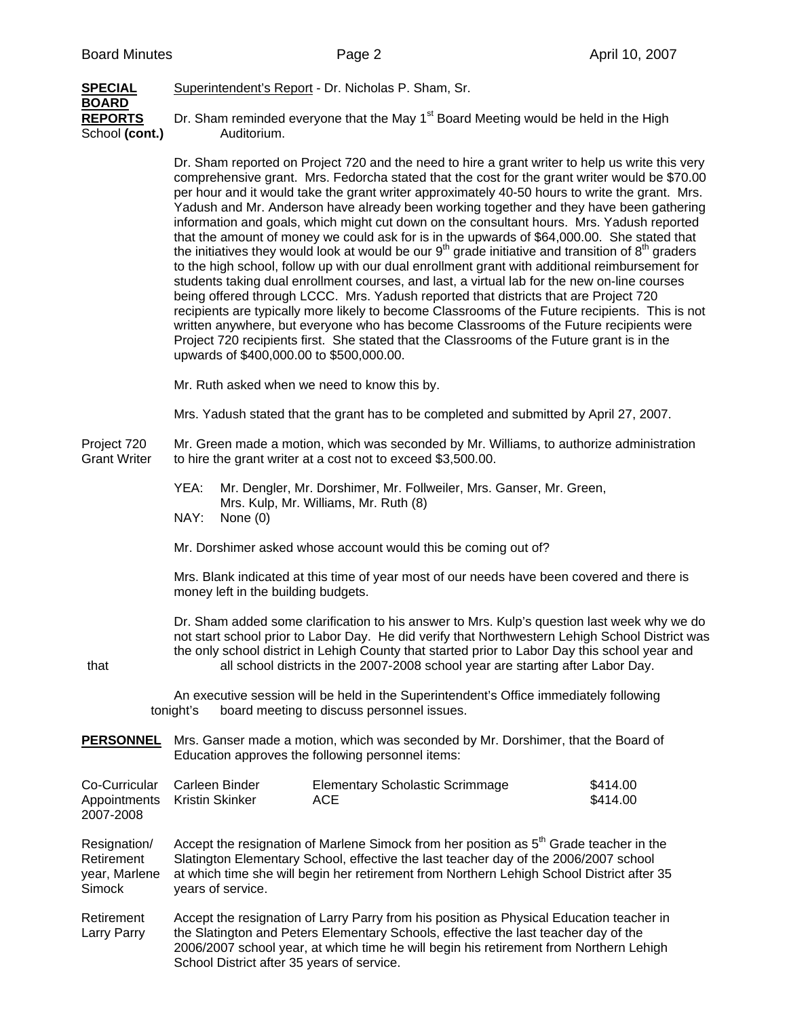**SPECIAL** Superintendent's Report - Dr. Nicholas P. Sham, Sr.

| <b>BOARD</b><br><b>REPORTS</b><br>School (cont.)      | Dr. Sham reminded everyone that the May 1 <sup>st</sup> Board Meeting would be held in the High<br>Auditorium.                                                                                                                                                                                                                                                                                                                                                                                                                                                                                                                                                                                                                                                                                                                                                                                                                                                                                                                                                                                                                                                                                                                                                                                                                       |  |  |  |
|-------------------------------------------------------|--------------------------------------------------------------------------------------------------------------------------------------------------------------------------------------------------------------------------------------------------------------------------------------------------------------------------------------------------------------------------------------------------------------------------------------------------------------------------------------------------------------------------------------------------------------------------------------------------------------------------------------------------------------------------------------------------------------------------------------------------------------------------------------------------------------------------------------------------------------------------------------------------------------------------------------------------------------------------------------------------------------------------------------------------------------------------------------------------------------------------------------------------------------------------------------------------------------------------------------------------------------------------------------------------------------------------------------|--|--|--|
|                                                       | Dr. Sham reported on Project 720 and the need to hire a grant writer to help us write this very<br>comprehensive grant. Mrs. Fedorcha stated that the cost for the grant writer would be \$70.00<br>per hour and it would take the grant writer approximately 40-50 hours to write the grant. Mrs.<br>Yadush and Mr. Anderson have already been working together and they have been gathering<br>information and goals, which might cut down on the consultant hours. Mrs. Yadush reported<br>that the amount of money we could ask for is in the upwards of \$64,000.00. She stated that<br>the initiatives they would look at would be our $9th$ grade initiative and transition of $8th$ graders<br>to the high school, follow up with our dual enrollment grant with additional reimbursement for<br>students taking dual enrollment courses, and last, a virtual lab for the new on-line courses<br>being offered through LCCC. Mrs. Yadush reported that districts that are Project 720<br>recipients are typically more likely to become Classrooms of the Future recipients. This is not<br>written anywhere, but everyone who has become Classrooms of the Future recipients were<br>Project 720 recipients first. She stated that the Classrooms of the Future grant is in the<br>upwards of \$400,000.00 to \$500,000.00. |  |  |  |
|                                                       | Mr. Ruth asked when we need to know this by.                                                                                                                                                                                                                                                                                                                                                                                                                                                                                                                                                                                                                                                                                                                                                                                                                                                                                                                                                                                                                                                                                                                                                                                                                                                                                         |  |  |  |
|                                                       | Mrs. Yadush stated that the grant has to be completed and submitted by April 27, 2007.                                                                                                                                                                                                                                                                                                                                                                                                                                                                                                                                                                                                                                                                                                                                                                                                                                                                                                                                                                                                                                                                                                                                                                                                                                               |  |  |  |
| Project 720<br><b>Grant Writer</b>                    | Mr. Green made a motion, which was seconded by Mr. Williams, to authorize administration<br>to hire the grant writer at a cost not to exceed \$3,500.00.                                                                                                                                                                                                                                                                                                                                                                                                                                                                                                                                                                                                                                                                                                                                                                                                                                                                                                                                                                                                                                                                                                                                                                             |  |  |  |
|                                                       | YEA:<br>Mr. Dengler, Mr. Dorshimer, Mr. Follweiler, Mrs. Ganser, Mr. Green,<br>Mrs. Kulp, Mr. Williams, Mr. Ruth (8)<br>NAY:<br>None $(0)$                                                                                                                                                                                                                                                                                                                                                                                                                                                                                                                                                                                                                                                                                                                                                                                                                                                                                                                                                                                                                                                                                                                                                                                           |  |  |  |
|                                                       | Mr. Dorshimer asked whose account would this be coming out of?                                                                                                                                                                                                                                                                                                                                                                                                                                                                                                                                                                                                                                                                                                                                                                                                                                                                                                                                                                                                                                                                                                                                                                                                                                                                       |  |  |  |
|                                                       | Mrs. Blank indicated at this time of year most of our needs have been covered and there is<br>money left in the building budgets.                                                                                                                                                                                                                                                                                                                                                                                                                                                                                                                                                                                                                                                                                                                                                                                                                                                                                                                                                                                                                                                                                                                                                                                                    |  |  |  |
| that                                                  | Dr. Sham added some clarification to his answer to Mrs. Kulp's question last week why we do<br>not start school prior to Labor Day. He did verify that Northwestern Lehigh School District was<br>the only school district in Lehigh County that started prior to Labor Day this school year and<br>all school districts in the 2007-2008 school year are starting after Labor Day.                                                                                                                                                                                                                                                                                                                                                                                                                                                                                                                                                                                                                                                                                                                                                                                                                                                                                                                                                  |  |  |  |
|                                                       | An executive session will be held in the Superintendent's Office immediately following<br>board meeting to discuss personnel issues.<br>tonight's                                                                                                                                                                                                                                                                                                                                                                                                                                                                                                                                                                                                                                                                                                                                                                                                                                                                                                                                                                                                                                                                                                                                                                                    |  |  |  |
| <b>PERSONNEL</b>                                      | Mrs. Ganser made a motion, which was seconded by Mr. Dorshimer, that the Board of<br>Education approves the following personnel items:                                                                                                                                                                                                                                                                                                                                                                                                                                                                                                                                                                                                                                                                                                                                                                                                                                                                                                                                                                                                                                                                                                                                                                                               |  |  |  |
| Co-Curricular<br>Appointments<br>2007-2008            | Carleen Binder<br><b>Elementary Scholastic Scrimmage</b><br>\$414.00<br>Kristin Skinker<br>\$414.00<br>ACE                                                                                                                                                                                                                                                                                                                                                                                                                                                                                                                                                                                                                                                                                                                                                                                                                                                                                                                                                                                                                                                                                                                                                                                                                           |  |  |  |
| Resignation/<br>Retirement<br>year, Marlene<br>Simock | Accept the resignation of Marlene Simock from her position as 5 <sup>th</sup> Grade teacher in the<br>Slatington Elementary School, effective the last teacher day of the 2006/2007 school<br>at which time she will begin her retirement from Northern Lehigh School District after 35<br>years of service.                                                                                                                                                                                                                                                                                                                                                                                                                                                                                                                                                                                                                                                                                                                                                                                                                                                                                                                                                                                                                         |  |  |  |
| Retirement<br>Larry Parry                             | Accept the resignation of Larry Parry from his position as Physical Education teacher in<br>the Slatington and Peters Elementary Schools, effective the last teacher day of the                                                                                                                                                                                                                                                                                                                                                                                                                                                                                                                                                                                                                                                                                                                                                                                                                                                                                                                                                                                                                                                                                                                                                      |  |  |  |

2006/2007 school year, at which time he will begin his retirement from Northern Lehigh

School District after 35 years of service.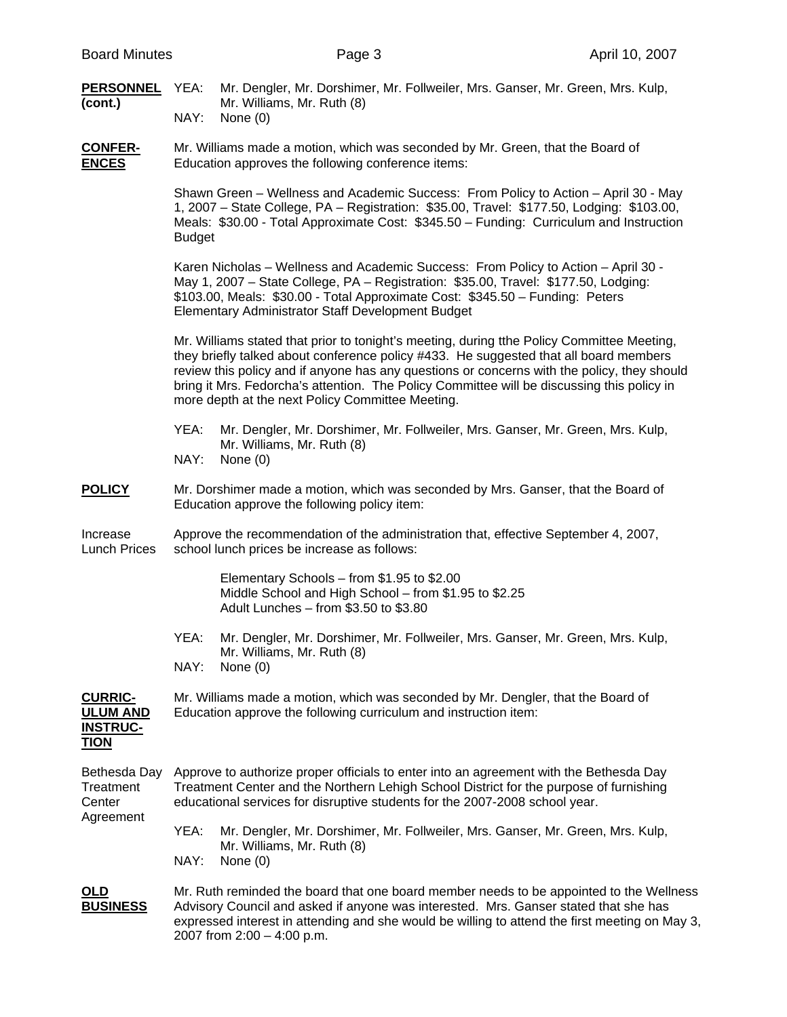#### **PERSONNEL** YEA: Mr. Dengler, Mr. Dorshimer, Mr. Follweiler, Mrs. Ganser, Mr. Green, Mrs. Kulp, **(cont.)** Mr. Williams, Mr. Ruth (8) NAY: None (0)

**CONFER-** Mr. Williams made a motion, which was seconded by Mr. Green, that the Board of **ENCES** Education approves the following conference items:

> Shawn Green – Wellness and Academic Success: From Policy to Action – April 30 - May 1, 2007 – State College, PA – Registration: \$35.00, Travel: \$177.50, Lodging: \$103.00, Meals: \$30.00 - Total Approximate Cost: \$345.50 – Funding: Curriculum and Instruction Budget

 Karen Nicholas – Wellness and Academic Success: From Policy to Action – April 30 - May 1, 2007 – State College, PA – Registration: \$35.00, Travel: \$177.50, Lodging: \$103.00, Meals: \$30.00 - Total Approximate Cost: \$345.50 – Funding: Peters Elementary Administrator Staff Development Budget

 Mr. Williams stated that prior to tonight's meeting, during tthe Policy Committee Meeting, they briefly talked about conference policy #433. He suggested that all board members review this policy and if anyone has any questions or concerns with the policy, they should bring it Mrs. Fedorcha's attention. The Policy Committee will be discussing this policy in more depth at the next Policy Committee Meeting.

- YEA: Mr. Dengler, Mr. Dorshimer, Mr. Follweiler, Mrs. Ganser, Mr. Green, Mrs. Kulp, Mr. Williams, Mr. Ruth (8) NAY: None (0)
- **POLICY** Mr. Dorshimer made a motion, which was seconded by Mrs. Ganser, that the Board of Education approve the following policy item:

Increase Approve the recommendation of the administration that, effective September 4, 2007, Lunch Prices school lunch prices be increase as follows:

| Elementary Schools – from $$1.95$ to $$2.00$          |
|-------------------------------------------------------|
| Middle School and High School – from \$1.95 to \$2.25 |
| Adult Lunches $-$ from \$3.50 to \$3.80               |

 YEA: Mr. Dengler, Mr. Dorshimer, Mr. Follweiler, Mrs. Ganser, Mr. Green, Mrs. Kulp, Mr. Williams, Mr. Ruth (8) NAY: None (0)

#### **CURRIC-** Mr. Williams made a motion, which was seconded by Mr. Dengler, that the Board of **ULUM AND** Education approve the following curriculum and instruction item: **INSTRUC-**

**TION**

- Bethesda Day Approve to authorize proper officials to enter into an agreement with the Bethesda Day Treatment Treatment Center and the Northern Lehigh School District for the purpose of furnishing Center educational services for disruptive students for the 2007-2008 school year. Agreement
	- YEA: Mr. Dengler, Mr. Dorshimer, Mr. Follweiler, Mrs. Ganser, Mr. Green, Mrs. Kulp, Mr. Williams, Mr. Ruth (8) NAY: None (0)

## **OLD** Mr. Ruth reminded the board that one board member needs to be appointed to the Wellness **BUSINESS** Advisory Council and asked if anyone was interested. Mrs. Ganser stated that she has expressed interest in attending and she would be willing to attend the first meeting on May 3, 2007 from 2:00 – 4:00 p.m.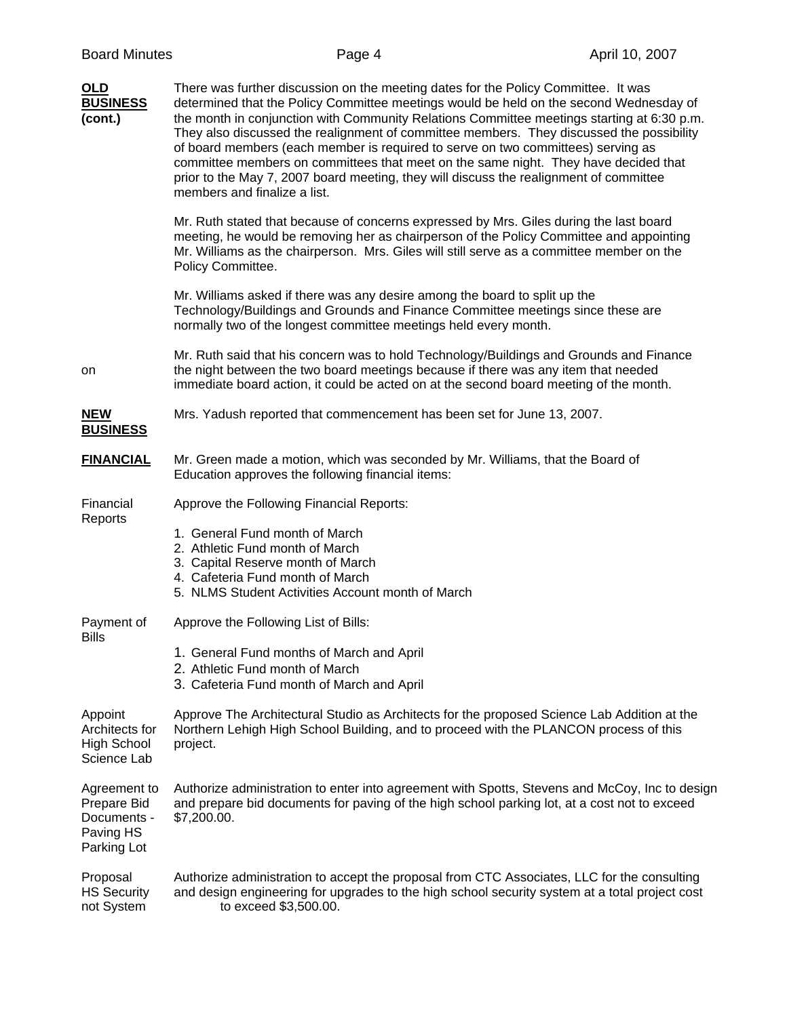|  | <b>Board Minutes</b> |
|--|----------------------|
|--|----------------------|

| OLD<br><b>BUSINESS</b><br>(cont.)                                      | There was further discussion on the meeting dates for the Policy Committee. It was<br>determined that the Policy Committee meetings would be held on the second Wednesday of<br>the month in conjunction with Community Relations Committee meetings starting at 6:30 p.m.<br>They also discussed the realignment of committee members. They discussed the possibility<br>of board members (each member is required to serve on two committees) serving as<br>committee members on committees that meet on the same night. They have decided that<br>prior to the May 7, 2007 board meeting, they will discuss the realignment of committee<br>members and finalize a list. |  |  |  |
|------------------------------------------------------------------------|-----------------------------------------------------------------------------------------------------------------------------------------------------------------------------------------------------------------------------------------------------------------------------------------------------------------------------------------------------------------------------------------------------------------------------------------------------------------------------------------------------------------------------------------------------------------------------------------------------------------------------------------------------------------------------|--|--|--|
|                                                                        | Mr. Ruth stated that because of concerns expressed by Mrs. Giles during the last board<br>meeting, he would be removing her as chairperson of the Policy Committee and appointing<br>Mr. Williams as the chairperson. Mrs. Giles will still serve as a committee member on the<br>Policy Committee.                                                                                                                                                                                                                                                                                                                                                                         |  |  |  |
|                                                                        | Mr. Williams asked if there was any desire among the board to split up the<br>Technology/Buildings and Grounds and Finance Committee meetings since these are<br>normally two of the longest committee meetings held every month.                                                                                                                                                                                                                                                                                                                                                                                                                                           |  |  |  |
| on                                                                     | Mr. Ruth said that his concern was to hold Technology/Buildings and Grounds and Finance<br>the night between the two board meetings because if there was any item that needed<br>immediate board action, it could be acted on at the second board meeting of the month.                                                                                                                                                                                                                                                                                                                                                                                                     |  |  |  |
| <b>NEW</b><br><b>BUSINESS</b>                                          | Mrs. Yadush reported that commencement has been set for June 13, 2007.                                                                                                                                                                                                                                                                                                                                                                                                                                                                                                                                                                                                      |  |  |  |
| <b>FINANCIAL</b>                                                       | Mr. Green made a motion, which was seconded by Mr. Williams, that the Board of<br>Education approves the following financial items:                                                                                                                                                                                                                                                                                                                                                                                                                                                                                                                                         |  |  |  |
| Financial<br>Reports                                                   | Approve the Following Financial Reports:                                                                                                                                                                                                                                                                                                                                                                                                                                                                                                                                                                                                                                    |  |  |  |
|                                                                        | 1. General Fund month of March<br>2. Athletic Fund month of March<br>3. Capital Reserve month of March<br>4. Cafeteria Fund month of March<br>5. NLMS Student Activities Account month of March                                                                                                                                                                                                                                                                                                                                                                                                                                                                             |  |  |  |
| Payment of<br><b>Bills</b>                                             | Approve the Following List of Bills:                                                                                                                                                                                                                                                                                                                                                                                                                                                                                                                                                                                                                                        |  |  |  |
|                                                                        | 1. General Fund months of March and April<br>2. Athletic Fund month of March<br>3. Cafeteria Fund month of March and April                                                                                                                                                                                                                                                                                                                                                                                                                                                                                                                                                  |  |  |  |
| Appoint<br>Architects for<br><b>High School</b><br>Science Lab         | Approve The Architectural Studio as Architects for the proposed Science Lab Addition at the<br>Northern Lehigh High School Building, and to proceed with the PLANCON process of this<br>project.                                                                                                                                                                                                                                                                                                                                                                                                                                                                            |  |  |  |
| Agreement to<br>Prepare Bid<br>Documents -<br>Paving HS<br>Parking Lot | Authorize administration to enter into agreement with Spotts, Stevens and McCoy, Inc to design<br>and prepare bid documents for paving of the high school parking lot, at a cost not to exceed<br>\$7,200.00.                                                                                                                                                                                                                                                                                                                                                                                                                                                               |  |  |  |
| Proposal<br><b>HS Security</b><br>not System                           | Authorize administration to accept the proposal from CTC Associates, LLC for the consulting<br>and design engineering for upgrades to the high school security system at a total project cost<br>to exceed \$3,500.00.                                                                                                                                                                                                                                                                                                                                                                                                                                                      |  |  |  |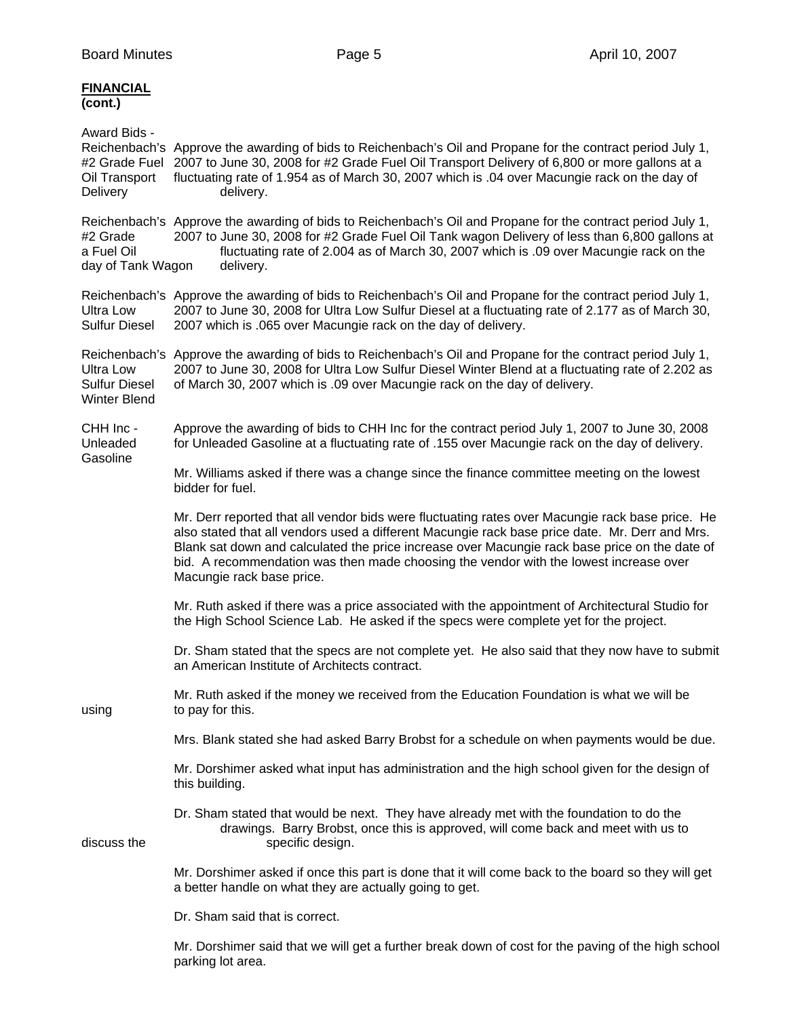| <b>FINANCIAL</b><br>(cont.)                                     |                                                                                                                                                                                                                                                                                                                                                                                                                          |  |  |  |  |
|-----------------------------------------------------------------|--------------------------------------------------------------------------------------------------------------------------------------------------------------------------------------------------------------------------------------------------------------------------------------------------------------------------------------------------------------------------------------------------------------------------|--|--|--|--|
| Award Bids -<br>#2 Grade Fuel<br>Oil Transport<br>Delivery      | Reichenbach's Approve the awarding of bids to Reichenbach's Oil and Propane for the contract period July 1,<br>2007 to June 30, 2008 for #2 Grade Fuel Oil Transport Delivery of 6,800 or more gallons at a<br>fluctuating rate of 1.954 as of March 30, 2007 which is .04 over Macungie rack on the day of<br>delivery.                                                                                                 |  |  |  |  |
| #2 Grade<br>a Fuel Oil<br>day of Tank Wagon                     | Reichenbach's Approve the awarding of bids to Reichenbach's Oil and Propane for the contract period July 1,<br>2007 to June 30, 2008 for #2 Grade Fuel Oil Tank wagon Delivery of less than 6,800 gallons at<br>fluctuating rate of 2.004 as of March 30, 2007 which is .09 over Macungie rack on the<br>delivery.                                                                                                       |  |  |  |  |
| <b>Ultra Low</b><br><b>Sulfur Diesel</b>                        | Reichenbach's Approve the awarding of bids to Reichenbach's Oil and Propane for the contract period July 1,<br>2007 to June 30, 2008 for Ultra Low Sulfur Diesel at a fluctuating rate of 2.177 as of March 30,<br>2007 which is .065 over Macungie rack on the day of delivery.                                                                                                                                         |  |  |  |  |
| <b>Ultra Low</b><br><b>Sulfur Diesel</b><br><b>Winter Blend</b> | Reichenbach's Approve the awarding of bids to Reichenbach's Oil and Propane for the contract period July 1,<br>2007 to June 30, 2008 for Ultra Low Sulfur Diesel Winter Blend at a fluctuating rate of 2.202 as<br>of March 30, 2007 which is .09 over Macungie rack on the day of delivery.                                                                                                                             |  |  |  |  |
| CHH Inc -<br>Unleaded<br>Gasoline                               | Approve the awarding of bids to CHH Inc for the contract period July 1, 2007 to June 30, 2008<br>for Unleaded Gasoline at a fluctuating rate of .155 over Macungie rack on the day of delivery.                                                                                                                                                                                                                          |  |  |  |  |
|                                                                 | Mr. Williams asked if there was a change since the finance committee meeting on the lowest<br>bidder for fuel.                                                                                                                                                                                                                                                                                                           |  |  |  |  |
|                                                                 | Mr. Derr reported that all vendor bids were fluctuating rates over Macungie rack base price. He<br>also stated that all vendors used a different Macungie rack base price date. Mr. Derr and Mrs.<br>Blank sat down and calculated the price increase over Macungie rack base price on the date of<br>bid. A recommendation was then made choosing the vendor with the lowest increase over<br>Macungie rack base price. |  |  |  |  |
|                                                                 | Mr. Ruth asked if there was a price associated with the appointment of Architectural Studio for<br>the High School Science Lab. He asked if the specs were complete yet for the project.                                                                                                                                                                                                                                 |  |  |  |  |
|                                                                 | Dr. Sham stated that the specs are not complete yet. He also said that they now have to submit<br>an American Institute of Architects contract.                                                                                                                                                                                                                                                                          |  |  |  |  |
| using                                                           | Mr. Ruth asked if the money we received from the Education Foundation is what we will be<br>to pay for this.                                                                                                                                                                                                                                                                                                             |  |  |  |  |
|                                                                 | Mrs. Blank stated she had asked Barry Brobst for a schedule on when payments would be due.                                                                                                                                                                                                                                                                                                                               |  |  |  |  |
|                                                                 | Mr. Dorshimer asked what input has administration and the high school given for the design of<br>this building.                                                                                                                                                                                                                                                                                                          |  |  |  |  |
| discuss the                                                     | Dr. Sham stated that would be next. They have already met with the foundation to do the<br>drawings. Barry Brobst, once this is approved, will come back and meet with us to<br>specific design.                                                                                                                                                                                                                         |  |  |  |  |
|                                                                 | Mr. Dorshimer asked if once this part is done that it will come back to the board so they will get<br>a better handle on what they are actually going to get.                                                                                                                                                                                                                                                            |  |  |  |  |
|                                                                 | Dr. Sham said that is correct.                                                                                                                                                                                                                                                                                                                                                                                           |  |  |  |  |
|                                                                 | Mr. Dorshimer said that we will get a further break down of cost for the paving of the high school                                                                                                                                                                                                                                                                                                                       |  |  |  |  |

parking lot area.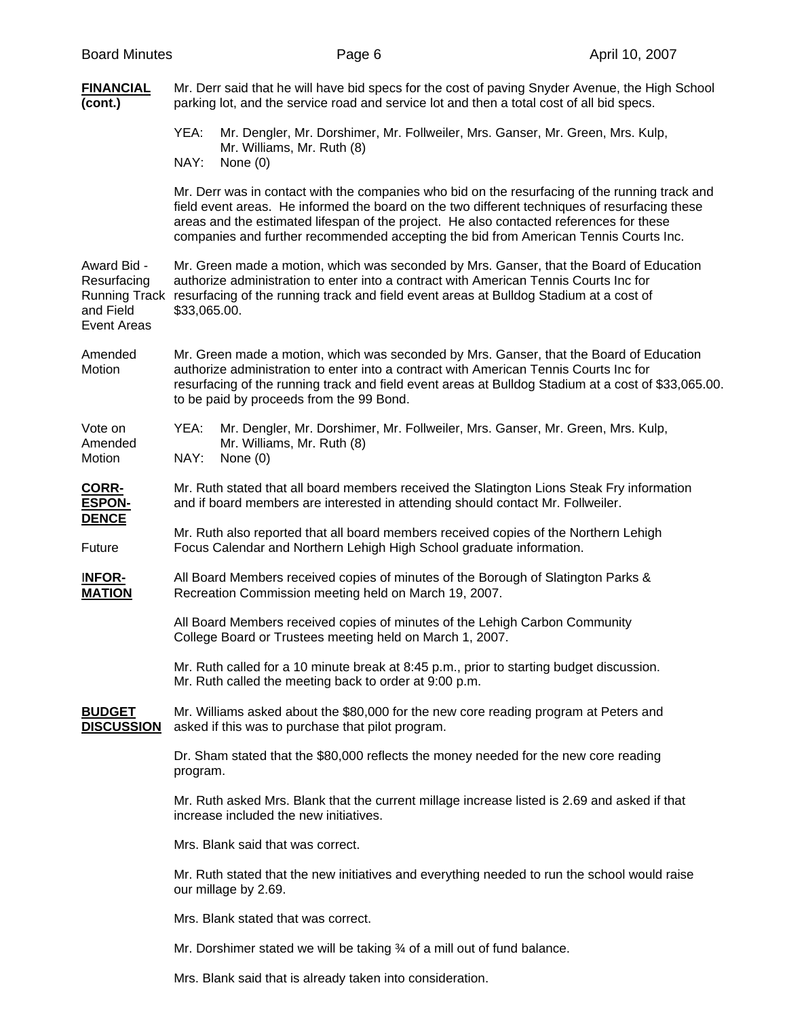| <b>FINANCIAL</b><br>(cont.)                                   | Mr. Derr said that he will have bid specs for the cost of paving Snyder Avenue, the High School<br>parking lot, and the service road and service lot and then a total cost of all bid specs.                                                                                                                                                                                       |  |  |  |
|---------------------------------------------------------------|------------------------------------------------------------------------------------------------------------------------------------------------------------------------------------------------------------------------------------------------------------------------------------------------------------------------------------------------------------------------------------|--|--|--|
|                                                               | YEA:<br>Mr. Dengler, Mr. Dorshimer, Mr. Follweiler, Mrs. Ganser, Mr. Green, Mrs. Kulp,<br>Mr. Williams, Mr. Ruth (8)<br>NAY:<br>None $(0)$                                                                                                                                                                                                                                         |  |  |  |
|                                                               | Mr. Derr was in contact with the companies who bid on the resurfacing of the running track and<br>field event areas. He informed the board on the two different techniques of resurfacing these<br>areas and the estimated lifespan of the project. He also contacted references for these<br>companies and further recommended accepting the bid from American Tennis Courts Inc. |  |  |  |
| Award Bid -<br>Resurfacing<br>and Field<br><b>Event Areas</b> | Mr. Green made a motion, which was seconded by Mrs. Ganser, that the Board of Education<br>authorize administration to enter into a contract with American Tennis Courts Inc for<br>Running Track resurfacing of the running track and field event areas at Bulldog Stadium at a cost of<br>\$33,065.00.                                                                           |  |  |  |
| Amended<br>Motion                                             | Mr. Green made a motion, which was seconded by Mrs. Ganser, that the Board of Education<br>authorize administration to enter into a contract with American Tennis Courts Inc for<br>resurfacing of the running track and field event areas at Bulldog Stadium at a cost of \$33,065.00.<br>to be paid by proceeds from the 99 Bond.                                                |  |  |  |
| Vote on<br>Amended<br>Motion                                  | Mr. Dengler, Mr. Dorshimer, Mr. Follweiler, Mrs. Ganser, Mr. Green, Mrs. Kulp,<br>YEA:<br>Mr. Williams, Mr. Ruth (8)<br>None $(0)$<br>NAY:                                                                                                                                                                                                                                         |  |  |  |
| <u>CORR-</u><br><b>ESPON-</b>                                 | Mr. Ruth stated that all board members received the Slatington Lions Steak Fry information<br>and if board members are interested in attending should contact Mr. Follweiler.                                                                                                                                                                                                      |  |  |  |
| <b>DENCE</b><br><b>Future</b>                                 | Mr. Ruth also reported that all board members received copies of the Northern Lehigh<br>Focus Calendar and Northern Lehigh High School graduate information.                                                                                                                                                                                                                       |  |  |  |
| <b>INFOR-</b><br><b>MATION</b>                                | All Board Members received copies of minutes of the Borough of Slatington Parks &<br>Recreation Commission meeting held on March 19, 2007.                                                                                                                                                                                                                                         |  |  |  |
|                                                               | All Board Members received copies of minutes of the Lehigh Carbon Community<br>College Board or Trustees meeting held on March 1, 2007.                                                                                                                                                                                                                                            |  |  |  |
|                                                               | Mr. Ruth called for a 10 minute break at 8:45 p.m., prior to starting budget discussion.<br>Mr. Ruth called the meeting back to order at 9:00 p.m.                                                                                                                                                                                                                                 |  |  |  |
| <b>BUDGET</b><br><b>DISCUSSION</b>                            | Mr. Williams asked about the \$80,000 for the new core reading program at Peters and<br>asked if this was to purchase that pilot program.                                                                                                                                                                                                                                          |  |  |  |
|                                                               | Dr. Sham stated that the \$80,000 reflects the money needed for the new core reading<br>program.                                                                                                                                                                                                                                                                                   |  |  |  |
|                                                               | Mr. Ruth asked Mrs. Blank that the current millage increase listed is 2.69 and asked if that<br>increase included the new initiatives.                                                                                                                                                                                                                                             |  |  |  |
|                                                               | Mrs. Blank said that was correct.                                                                                                                                                                                                                                                                                                                                                  |  |  |  |
|                                                               | Mr. Ruth stated that the new initiatives and everything needed to run the school would raise<br>our millage by 2.69.                                                                                                                                                                                                                                                               |  |  |  |
|                                                               | Mrs. Blank stated that was correct.                                                                                                                                                                                                                                                                                                                                                |  |  |  |
|                                                               | Mr. Dorshimer stated we will be taking $\frac{3}{4}$ of a mill out of fund balance.                                                                                                                                                                                                                                                                                                |  |  |  |

Mrs. Blank said that is already taken into consideration.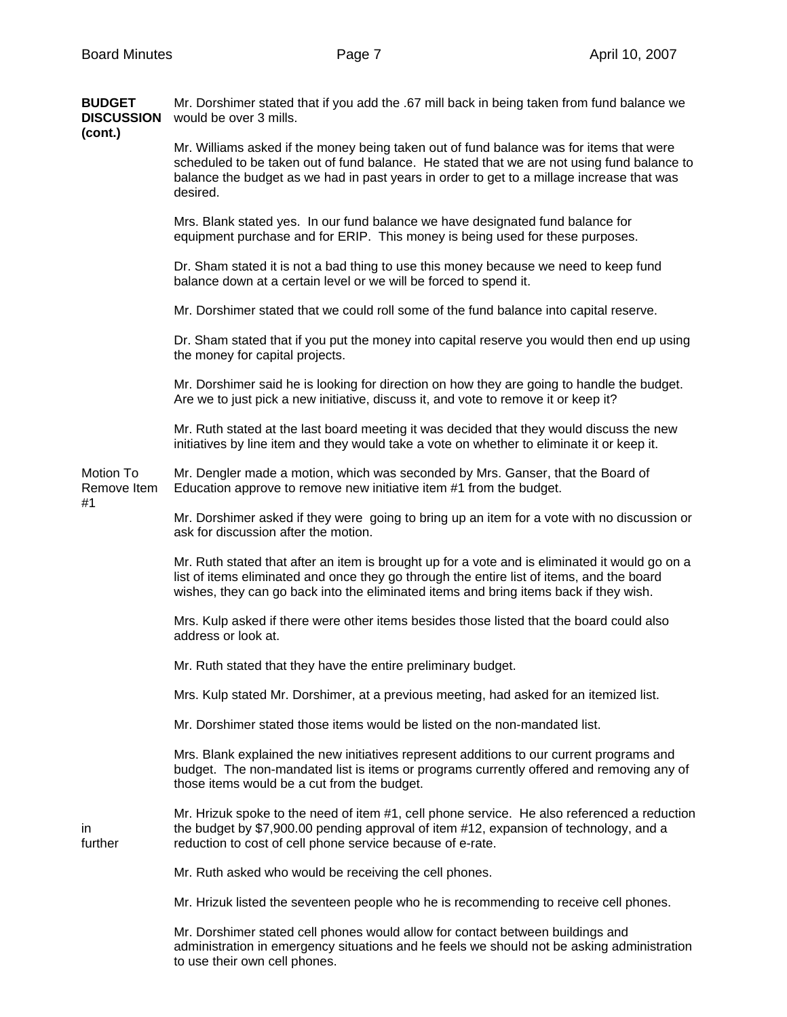**BUDGET** Mr. Dorshimer stated that if you add the .67 mill back in being taken from fund balance we **DISCUSSION** would be over 3 mills. **(cont.)** 

> Mr. Williams asked if the money being taken out of fund balance was for items that were scheduled to be taken out of fund balance. He stated that we are not using fund balance to balance the budget as we had in past years in order to get to a millage increase that was desired.

 Mrs. Blank stated yes. In our fund balance we have designated fund balance for equipment purchase and for ERIP. This money is being used for these purposes.

 Dr. Sham stated it is not a bad thing to use this money because we need to keep fund balance down at a certain level or we will be forced to spend it.

Mr. Dorshimer stated that we could roll some of the fund balance into capital reserve.

 Dr. Sham stated that if you put the money into capital reserve you would then end up using the money for capital projects.

 Mr. Dorshimer said he is looking for direction on how they are going to handle the budget. Are we to just pick a new initiative, discuss it, and vote to remove it or keep it?

 Mr. Ruth stated at the last board meeting it was decided that they would discuss the new initiatives by line item and they would take a vote on whether to eliminate it or keep it.

Motion To Mr. Dengler made a motion, which was seconded by Mrs. Ganser, that the Board of Remove Item Education approve to remove new initiative item #1 from the budget.

#1

 Mr. Dorshimer asked if they were going to bring up an item for a vote with no discussion or ask for discussion after the motion.

 Mr. Ruth stated that after an item is brought up for a vote and is eliminated it would go on a list of items eliminated and once they go through the entire list of items, and the board wishes, they can go back into the eliminated items and bring items back if they wish.

 Mrs. Kulp asked if there were other items besides those listed that the board could also address or look at.

Mr. Ruth stated that they have the entire preliminary budget.

Mrs. Kulp stated Mr. Dorshimer, at a previous meeting, had asked for an itemized list.

Mr. Dorshimer stated those items would be listed on the non-mandated list.

 Mrs. Blank explained the new initiatives represent additions to our current programs and budget. The non-mandated list is items or programs currently offered and removing any of those items would be a cut from the budget.

 Mr. Hrizuk spoke to the need of item #1, cell phone service. He also referenced a reduction in the budget by \$7,900.00 pending approval of item #12, expansion of technology, and a further reduction to cost of cell phone service because of e-rate.

Mr. Ruth asked who would be receiving the cell phones.

Mr. Hrizuk listed the seventeen people who he is recommending to receive cell phones.

 Mr. Dorshimer stated cell phones would allow for contact between buildings and administration in emergency situations and he feels we should not be asking administration to use their own cell phones.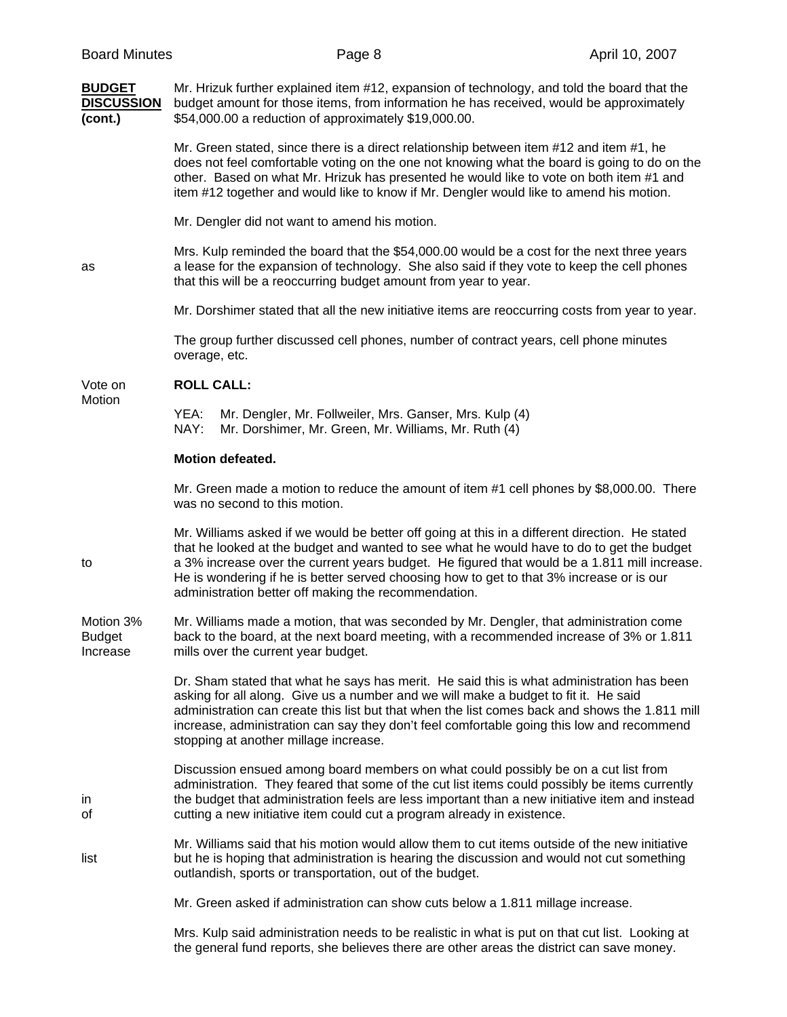**BUDGET** Mr. Hrizuk further explained item #12, expansion of technology, and told the board that the **DISCUSSION** budget amount for those items, from information he has received, would be approximately **(cont.)** \$54,000.00 a reduction of approximately \$19,000.00.

> Mr. Green stated, since there is a direct relationship between item #12 and item #1, he does not feel comfortable voting on the one not knowing what the board is going to do on the other. Based on what Mr. Hrizuk has presented he would like to vote on both item #1 and item #12 together and would like to know if Mr. Dengler would like to amend his motion.

Mr. Dengler did not want to amend his motion.

 Mrs. Kulp reminded the board that the \$54,000.00 would be a cost for the next three years as a lease for the expansion of technology. She also said if they vote to keep the cell phones that this will be a reoccurring budget amount from year to year.

Mr. Dorshimer stated that all the new initiative items are reoccurring costs from year to year.

 The group further discussed cell phones, number of contract years, cell phone minutes overage, etc.

# Vote on **ROLL CALL:**

Motion

 YEA: Mr. Dengler, Mr. Follweiler, Mrs. Ganser, Mrs. Kulp (4) NAY: Mr. Dorshimer, Mr. Green, Mr. Williams, Mr. Ruth (4)

## **Motion defeated.**

 Mr. Green made a motion to reduce the amount of item #1 cell phones by \$8,000.00. There was no second to this motion.

 Mr. Williams asked if we would be better off going at this in a different direction. He stated that he looked at the budget and wanted to see what he would have to do to get the budget to a 3% increase over the current years budget. He figured that would be a 1.811 mill increase. He is wondering if he is better served choosing how to get to that 3% increase or is our administration better off making the recommendation.

Motion 3% Mr. Williams made a motion, that was seconded by Mr. Dengler, that administration come Budget back to the board, at the next board meeting, with a recommended increase of 3% or 1.811 Increase mills over the current year budget.

> Dr. Sham stated that what he says has merit. He said this is what administration has been asking for all along. Give us a number and we will make a budget to fit it. He said administration can create this list but that when the list comes back and shows the 1.811 mill increase, administration can say they don't feel comfortable going this low and recommend stopping at another millage increase.

 Discussion ensued among board members on what could possibly be on a cut list from administration. They feared that some of the cut list items could possibly be items currently in the budget that administration feels are less important than a new initiative item and instead of cutting a new initiative item could cut a program already in existence.

- Mr. Williams said that his motion would allow them to cut items outside of the new initiative list but he is hoping that administration is hearing the discussion and would not cut something outlandish, sports or transportation, out of the budget.
	- Mr. Green asked if administration can show cuts below a 1.811 millage increase.

Mrs. Kulp said administration needs to be realistic in what is put on that cut list. Looking at the general fund reports, she believes there are other areas the district can save money.